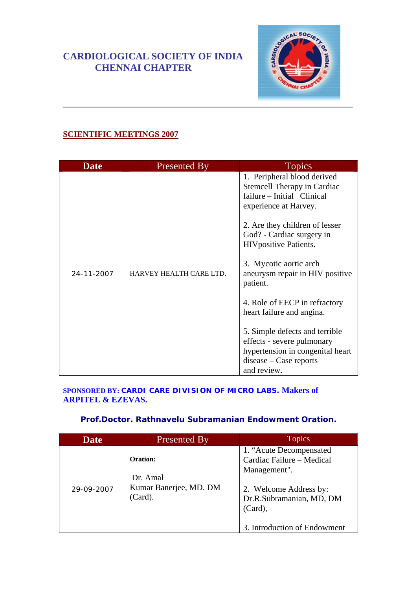# **CARDIOLOGICAL SOCIETY OF INDIA CHENNAI CHAPTER**



## **SCIENTIFIC MEETINGS 2007**

| <b>Date</b> | Presented By            | <b>Topics</b>                                                                                                                                                                                                                                                                                                                                                                              |
|-------------|-------------------------|--------------------------------------------------------------------------------------------------------------------------------------------------------------------------------------------------------------------------------------------------------------------------------------------------------------------------------------------------------------------------------------------|
| 24-11-2007  | HARVEY HEALTH CARE LTD. | 1. Peripheral blood derived<br>Stemcell Therapy in Cardiac<br>failure – Initial Clinical<br>experience at Harvey.<br>2. Are they children of lesser<br>God? - Cardiac surgery in<br><b>HIV</b> positive Patients.<br>3. Mycotic aortic arch<br>aneurysm repair in HIV positive<br>patient.<br>4. Role of EECP in refractory<br>heart failure and angina.<br>5. Simple defects and terrible |
|             |                         | effects - severe pulmonary<br>hypertension in congenital heart<br>$disease - Case$ reports                                                                                                                                                                                                                                                                                                 |
|             |                         | and review.                                                                                                                                                                                                                                                                                                                                                                                |

#### **SPONSORED BY: CARDI CARE DIVISION OF MICRO LABS. Makers of ARPITEL & EZEVAS.**

### **Prof.Doctor. Rathnavelu Subramanian Endowment Oration.**

| <b>Date</b> | <b>Presented By</b>                                       | <b>Topics</b>                                                                                                                                                             |
|-------------|-----------------------------------------------------------|---------------------------------------------------------------------------------------------------------------------------------------------------------------------------|
| 29-09-2007  | Oration:<br>Dr. Amal<br>Kumar Banerjee, MD. DM<br>(Card). | 1. "Acute Decompensated"<br>Cardiac Failure - Medical<br>Management".<br>2. Welcome Address by:<br>Dr.R.Subramanian, MD, DM<br>$(Card)$ ,<br>3. Introduction of Endowment |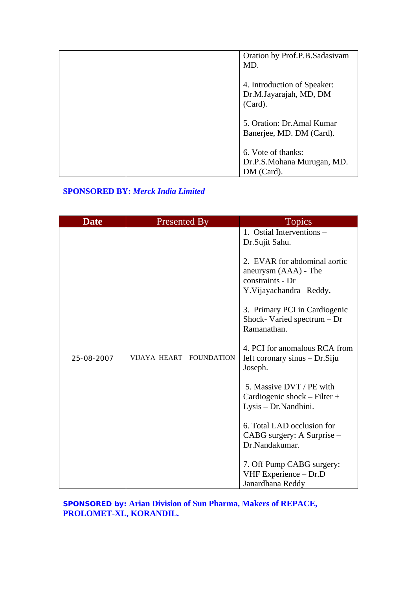| Oration by Prof.P.B.Sadasivam<br>MD.                             |
|------------------------------------------------------------------|
| 4. Introduction of Speaker:<br>Dr.M.Jayarajah, MD, DM<br>(Card). |
| 5. Oration: Dr. Amal Kumar<br>Banerjee, MD. DM (Card).           |
| 6. Vote of thanks:<br>Dr.P.S.Mohana Murugan, MD.<br>DM (Card).   |

### **SPONSORED BY:** *Merck India Limited*

| <b>Date</b> | <b>Presented By</b>     | <b>Topics</b>                                                                                                                                                                                                                                                                                                                                                                                                                                                                                                                                               |
|-------------|-------------------------|-------------------------------------------------------------------------------------------------------------------------------------------------------------------------------------------------------------------------------------------------------------------------------------------------------------------------------------------------------------------------------------------------------------------------------------------------------------------------------------------------------------------------------------------------------------|
| 25-08-2007  | VIJAYA HEART FOUNDATION | 1. Ostial Interventions -<br>Dr.Sujit Sahu.<br>2. EVAR for abdominal aortic<br>aneurysm (AAA) - The<br>constraints - Dr<br>Y.Vijayachandra Reddy.<br>3. Primary PCI in Cardiogenic<br>Shock-Varied spectrum $-Dr$<br>Ramanathan.<br>4. PCI for anomalous RCA from<br>left coronary sinus – Dr. Siju<br>Joseph.<br>5. Massive DVT / PE with<br>Cardiogenic shock - Filter +<br>Lysis - Dr. Nandhini.<br>6. Total LAD occlusion for<br>CABG surgery: A Surprise –<br>Dr.Nandakumar.<br>7. Off Pump CABG surgery:<br>VHF Experience - Dr.D<br>Janardhana Reddy |

**SPONSORED by: Arian Division of Sun Pharma, Makers of REPACE, PROLOMET-XL, KORANDIL.**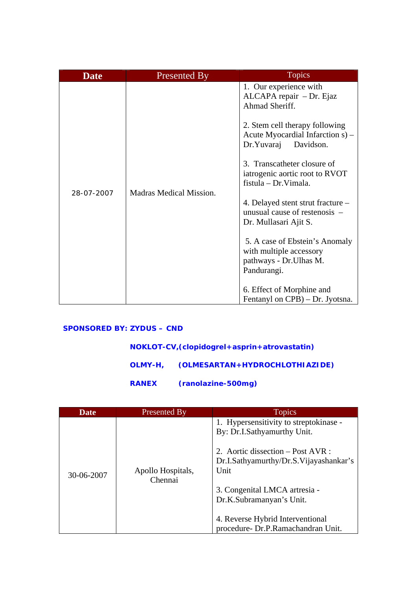| <b>Date</b> | <b>Presented By</b>     | <b>Topics</b>                                                                                                                                                                                                                                                                                                                                                                                                                                                                                      |
|-------------|-------------------------|----------------------------------------------------------------------------------------------------------------------------------------------------------------------------------------------------------------------------------------------------------------------------------------------------------------------------------------------------------------------------------------------------------------------------------------------------------------------------------------------------|
| 28-07-2007  | Madras Medical Mission. | 1. Our experience with<br>ALCAPA repair - Dr. Ejaz<br>Ahmad Sheriff.<br>2. Stem cell therapy following<br>Acute Myocardial Infarction s) –<br>Dr.Yuvaraj<br>Davidson.<br>3. Transcatheter closure of<br>iatrogenic aortic root to RVOT<br>fistula – Dr. Vimala.<br>4. Delayed stent strut fracture –<br>unusual cause of restenosis –<br>Dr. Mullasari Ajit S.<br>5. A case of Ebstein's Anomaly<br>with multiple accessory<br>pathways - Dr. Ulhas M.<br>Pandurangi.<br>6. Effect of Morphine and |
|             |                         | Fentanyl on CPB) – Dr. Jyotsna.                                                                                                                                                                                                                                                                                                                                                                                                                                                                    |

## **SPONSORED BY: ZYDUS – CND**

| NOKLOT-CV, (clopidogrel + asprin + atrovastatin) |                                        |
|--------------------------------------------------|----------------------------------------|
|                                                  | OLMY-H, (OLMESARTAN+HYDROCHLOTHIAZIDE) |
| RANEX                                            | (ranolazine-500mg)                     |

| Date       | Presented By                 | <b>Topics</b>                                                                                                                                                                                                                                                                                       |
|------------|------------------------------|-----------------------------------------------------------------------------------------------------------------------------------------------------------------------------------------------------------------------------------------------------------------------------------------------------|
| 30-06-2007 | Apollo Hospitals,<br>Chennai | 1. Hypersensitivity to streptokinase -<br>By: Dr.I.Sathyamurthy Unit.<br>2. Aortic dissection – Post AVR :<br>Dr.I.Sathyamurthy/Dr.S.Vijayashankar's<br>Unit<br>3. Congenital LMCA artresia -<br>Dr.K.Subramanyan's Unit.<br>4. Reverse Hybrid Interventional<br>procedure- Dr.P.Ramachandran Unit. |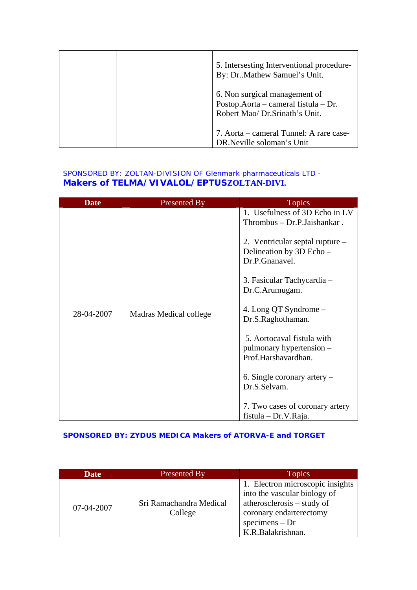| 5. Intersesting Interventional procedure-<br>By: DrMathew Samuel's Unit.                                 |
|----------------------------------------------------------------------------------------------------------|
| 6. Non surgical management of<br>Postop.Aorta – cameral fistula – Dr.<br>Robert Mao/ Dr. Srinath's Unit. |
| 7. Aorta – cameral Tunnel: A rare case-<br>DR.Neville soloman's Unit                                     |

### SPONSORED BY: ZOLTAN-DIVISION OF Glenmark pharmaceuticals LTD - **Makers of TELMA/VIVALOL/EPTUSZOLTAN-DIVI.**

| <b>Date</b> | <b>Presented By</b>    | <b>Topics</b>                                                                 |
|-------------|------------------------|-------------------------------------------------------------------------------|
|             |                        | 1. Usefulness of 3D Echo in LV<br>Thrombus - Dr.P.Jaishankar.                 |
|             |                        | 2. Ventricular septal rupture –<br>Delineation by 3D Echo -<br>Dr.P.Gnanavel. |
|             |                        | 3. Fasicular Tachycardia -<br>Dr.C.Arumugam.                                  |
| 28-04-2007  | Madras Medical college | 4. Long QT Syndrome –<br>Dr.S.Raghothaman.                                    |
|             |                        | 5. Aortocaval fistula with<br>pulmonary hypertension –<br>Prof.Harshavardhan. |
|             |                        | 6. Single coronary artery $-$<br>Dr.S.Selvam.                                 |
|             |                        | 7. Two cases of coronary artery<br>$fistula - Dr.V.Raja.$                     |

#### **SPONSORED BY: ZYDUS MEDICA Makers of ATORVA-E and TORGET**

| <b>Date</b> | Presented By                       | <b>Topics</b>                                                                                                                                                      |
|-------------|------------------------------------|--------------------------------------------------------------------------------------------------------------------------------------------------------------------|
| 07-04-2007  | Sri Ramachandra Medical<br>College | 1. Electron microscopic insights<br>into the vascular biology of<br>atherosclerosis – study of<br>coronary endarterectomy<br>$specimens - Dr$<br>K.R.Balakrishnan. |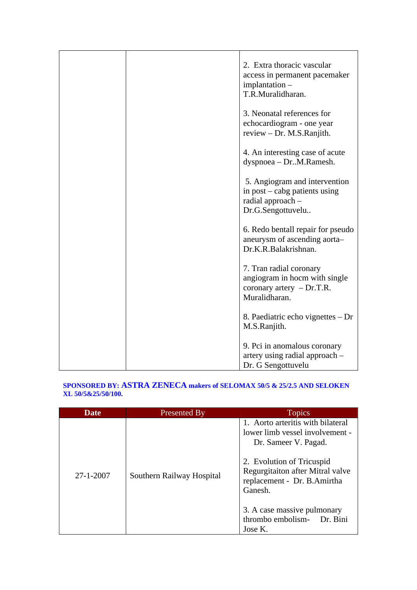|  | 2. Extra thoracic vascular<br>access in permanent pacemaker<br>implantation -<br>T.R.Muralidharan.         |
|--|------------------------------------------------------------------------------------------------------------|
|  | 3. Neonatal references for<br>echocardiogram - one year<br>review $-$ Dr. M.S. Ranjith.                    |
|  | 4. An interesting case of acute<br>dyspnoea - DrM.Ramesh.                                                  |
|  | 5. Angiogram and intervention<br>in $post - caby$ patients using<br>radial approach -<br>Dr.G.Sengottuvelu |
|  | 6. Redo bentall repair for pseudo<br>aneurysm of ascending aorta-<br>Dr.K.R.Balakrishnan.                  |
|  | 7. Tran radial coronary<br>angiogram in hocm with single<br>coronary artery $-Dr.T.R.$<br>Muralidharan.    |
|  | 8. Paediatric echo vignettes – Dr<br>M.S.Ranjith.                                                          |
|  | 9. Pci in anomalous coronary<br>artery using radial approach -<br>Dr. G Sengottuvelu                       |

#### **SPONSORED BY: ASTRA ZENECA makers of SELOMAX 50/5 & 25/2.5 AND SELOKEN XL 50/5&25/50/100.**

| <b>Date</b>     | <b>Presented By</b>       | <b>Topics</b>                                                                                                                                                                                                                                                                   |
|-----------------|---------------------------|---------------------------------------------------------------------------------------------------------------------------------------------------------------------------------------------------------------------------------------------------------------------------------|
| $27 - 1 - 2007$ | Southern Railway Hospital | 1. Aorto arteritis with bilateral<br>lower limb vessel involvement -<br>Dr. Sameer V. Pagad.<br>2. Evolution of Tricuspid<br>Regurgitaiton after Mitral valve<br>replacement - Dr. B.Amirtha<br>Ganesh.<br>3. A case massive pulmonary<br>thrombo embolism- Dr. Bini<br>Jose K. |